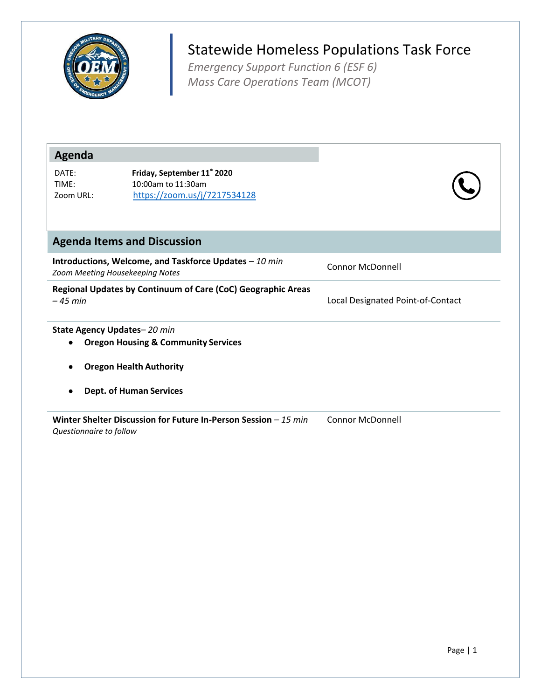

## Statewide Homeless Populations Task Force

*Emergency Support Function 6 (ESF 6) Mass Care Operations Team (MCOT)*

| Agenda                                                                    |                                                                                           |                                   |  |  |
|---------------------------------------------------------------------------|-------------------------------------------------------------------------------------------|-----------------------------------|--|--|
| DATE:<br>TIME:<br>Zoom URL:                                               | Friday, September 11" 2020<br>10:00am to 11:30am<br>https://zoom.us/j/7217534128          |                                   |  |  |
|                                                                           | <b>Agenda Items and Discussion</b>                                                        |                                   |  |  |
|                                                                           | Introductions, Welcome, and Taskforce Updates - 10 min<br>Zoom Meeting Housekeeping Notes | <b>Connor McDonnell</b>           |  |  |
| Regional Updates by Continuum of Care (CoC) Geographic Areas<br>$-45$ min |                                                                                           | Local Designated Point-of-Contact |  |  |
| ٠                                                                         | State Agency Updates-20 min<br><b>Oregon Housing &amp; Community Services</b>             |                                   |  |  |
| <b>Oregon Health Authority</b>                                            |                                                                                           |                                   |  |  |
|                                                                           | <b>Dept. of Human Services</b>                                                            |                                   |  |  |
| Questionnaire to follow                                                   | Winter Shelter Discussion for Future In-Person Session $-15$ min                          | Connor McDonnell                  |  |  |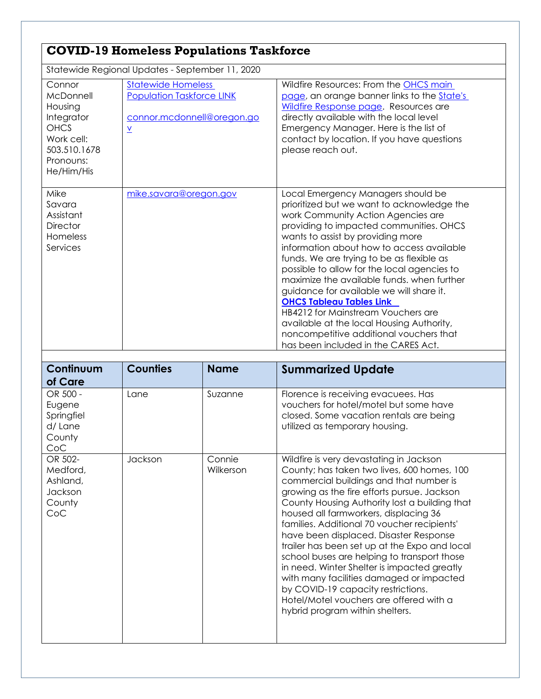## **COVID-19 Homeless Populations Taskforce**

Statewide Regional Updates - September 11, 2020

| archicle itografiai opaaros copionison il <i>i E</i> ces                                                             |                                                                                                                         |                                                                                                                                                                                                                                                                                                                                                                                                                                                                                                                                                                                                                                                   |  |
|----------------------------------------------------------------------------------------------------------------------|-------------------------------------------------------------------------------------------------------------------------|---------------------------------------------------------------------------------------------------------------------------------------------------------------------------------------------------------------------------------------------------------------------------------------------------------------------------------------------------------------------------------------------------------------------------------------------------------------------------------------------------------------------------------------------------------------------------------------------------------------------------------------------------|--|
| Connor<br>McDonnell<br>Housing<br>Integrator<br><b>OHCS</b><br>Work cell:<br>503.510.1678<br>Pronouns:<br>He/Him/His | <b>Statewide Homeless</b><br><b>Population Taskforce LINK</b><br>connor.mcdonnell@oregon.go<br>$\underline{\mathsf{v}}$ | Wildfire Resources: From the <b>OHCS</b> main<br>page, an orange banner links to the <b>State's</b><br>Wildfire Response page. Resources are<br>directly available with the local level<br>Emergency Manager. Here is the list of<br>contact by location. If you have questions<br>please reach out.                                                                                                                                                                                                                                                                                                                                              |  |
| Mike<br>Savara<br>Assistant<br>Director<br>Homeless<br>Services                                                      | mike.savara@oregon.gov                                                                                                  | Local Emergency Managers should be<br>prioritized but we want to acknowledge the<br>work Community Action Agencies are<br>providing to impacted communities. OHCS<br>wants to assist by providing more<br>information about how to access available<br>funds. We are trying to be as flexible as<br>possible to allow for the local agencies to<br>maximize the available funds, when further<br>guidance for available we will share it.<br><b>OHCS Tableau Tables Link</b><br>HB4212 for Mainstream Vouchers are<br>available at the local Housing Authority,<br>noncompetitive additional vouchers that<br>has been included in the CARES Act. |  |

| Continuum<br>of Care                                        | <b>Counties</b> | <b>Name</b>         | <b>Summarized Update</b>                                                                                                                                                                                                                                                                                                                                                                                                                                                                                                                                                                                                                                                           |
|-------------------------------------------------------------|-----------------|---------------------|------------------------------------------------------------------------------------------------------------------------------------------------------------------------------------------------------------------------------------------------------------------------------------------------------------------------------------------------------------------------------------------------------------------------------------------------------------------------------------------------------------------------------------------------------------------------------------------------------------------------------------------------------------------------------------|
| OR 500 -<br>Eugene<br>Springfiel<br>d/Lane<br>County<br>CoC | Lane            | Suzanne             | Florence is receiving evacuees. Has<br>vouchers for hotel/motel but some have<br>closed. Some vacation rentals are being<br>utilized as temporary housing.                                                                                                                                                                                                                                                                                                                                                                                                                                                                                                                         |
| OR 502-<br>Medford,<br>Ashland,<br>Jackson<br>County<br>CoC | Jackson         | Connie<br>Wilkerson | Wildfire is very devastating in Jackson<br>County; has taken two lives, 600 homes, 100<br>commercial buildings and that number is<br>growing as the fire efforts pursue. Jackson<br>County Housing Authority lost a building that<br>housed all farmworkers, displacing 36<br>families. Additional 70 voucher recipients'<br>have been displaced. Disaster Response<br>trailer has been set up at the Expo and local<br>school buses are helping to transport those<br>in need. Winter Shelter is impacted greatly<br>with many facilities damaged or impacted<br>by COVID-19 capacity restrictions.<br>Hotel/Motel vouchers are offered with a<br>hybrid program within shelters. |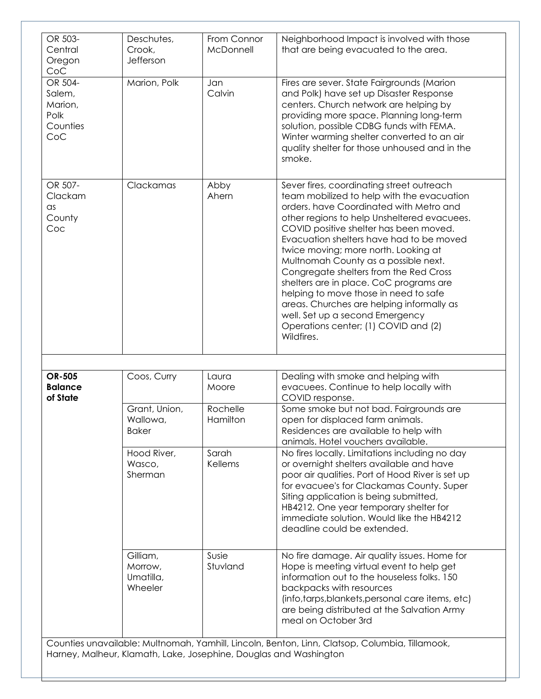| OR 503-<br>Central<br>Oregon<br>CoC                     | Deschutes,<br>Crook,<br>Jefferson                                 | From Connor<br>McDonnell | Neighborhood Impact is involved with those<br>that are being evacuated to the area.                                                                                                                                                                                                                                                                                                                                                                                                                                                                                                                                         |
|---------------------------------------------------------|-------------------------------------------------------------------|--------------------------|-----------------------------------------------------------------------------------------------------------------------------------------------------------------------------------------------------------------------------------------------------------------------------------------------------------------------------------------------------------------------------------------------------------------------------------------------------------------------------------------------------------------------------------------------------------------------------------------------------------------------------|
| OR 504-<br>Salem,<br>Marion,<br>Polk<br>Counties<br>CoC | Marion, Polk                                                      | Jan<br>Calvin            | Fires are sever. State Fairgrounds (Marion<br>and Polk) have set up Disaster Response<br>centers. Church network are helping by<br>providing more space. Planning long-term<br>solution, possible CDBG funds with FEMA.<br>Winter warming shelter converted to an air<br>quality shelter for those unhoused and in the<br>smoke.                                                                                                                                                                                                                                                                                            |
| OR 507-<br>Clackam<br>$\alpha$ s<br>County<br>Coc       | Clackamas                                                         | Abby<br>Ahern            | Sever fires, coordinating street outreach<br>team mobilized to help with the evacuation<br>orders, have Coordinated with Metro and<br>other regions to help Unsheltered evacuees.<br>COVID positive shelter has been moved.<br>Evacuation shelters have had to be moved<br>twice moving; more north. Looking at<br>Multnomah County as a possible next.<br>Congregate shelters from the Red Cross<br>shelters are in place. CoC programs are<br>helping to move those in need to safe<br>areas. Churches are helping informally as<br>well. Set up a second Emergency<br>Operations center; (1) COVID and (2)<br>Wildfires. |
|                                                         |                                                                   |                          |                                                                                                                                                                                                                                                                                                                                                                                                                                                                                                                                                                                                                             |
| <b>OR-505</b><br><b>Balance</b><br>of State             | Coos, Curry                                                       | Laura<br>Moore           | Dealing with smoke and helping with<br>evacuees. Continue to help locally with<br>COVID response.                                                                                                                                                                                                                                                                                                                                                                                                                                                                                                                           |
|                                                         | Grant, Union,<br>Wallowa,<br><b>Baker</b>                         | Rochelle<br>Hamilton     | Some smoke but not bad. Fairgrounds are<br>open for displaced farm animals.<br>Residences are available to help with<br>animals. Hotel vouchers available.                                                                                                                                                                                                                                                                                                                                                                                                                                                                  |
|                                                         | Hood River,<br>Wasco,<br>Sherman                                  | Sarah<br>Kellems         | No fires locally. Limitations including no day<br>or overnight shelters available and have<br>poor air qualities. Port of Hood River is set up<br>for evacuee's for Clackamas County. Super<br>Siting application is being submitted,<br>HB4212. One year temporary shelter for<br>immediate solution. Would like the HB4212<br>deadline could be extended.                                                                                                                                                                                                                                                                 |
|                                                         | Gilliam,<br>Morrow,<br>Umatilla,<br>Wheeler                       | Susie<br>Stuvland        | No fire damage. Air quality issues. Home for<br>Hope is meeting virtual event to help get<br>information out to the houseless folks. 150<br>backpacks with resources<br>(info, tarps, blankets, personal care items, etc)<br>are being distributed at the Salvation Army<br>meal on October 3rd                                                                                                                                                                                                                                                                                                                             |
|                                                         | Harney, Malheur, Klamath, Lake, Josephine, Douglas and Washington |                          | Counties unavailable: Multnomah, Yamhill, Lincoln, Benton, Linn, Clatsop, Columbia, Tillamook,                                                                                                                                                                                                                                                                                                                                                                                                                                                                                                                              |